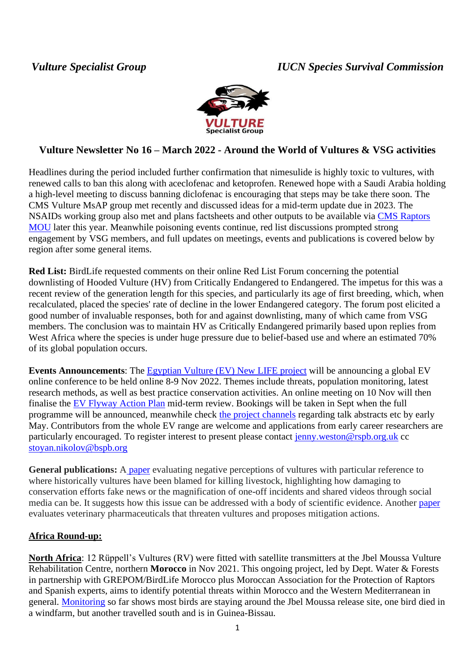# *Vulture Specialist Group IUCN Species Survival Commission*



# **Vulture Newsletter No 16 – March 2022 - Around the World of Vultures & VSG activities**

Headlines during the period included further confirmation that nimesulide is highly toxic to vultures, with renewed calls to ban this along with aceclofenac and ketoprofen. Renewed hope with a Saudi Arabia holding a high-level meeting to discuss banning diclofenac is encouraging that steps may be take there soon. The CMS Vulture MsAP group met recently and discussed ideas for a mid-term update due in 2023. The NSAIDs working group also met and plans factsheets and other outputs to be available via CMS [Raptors](https://www.cms.int/raptors/en)  [MOU](https://www.cms.int/raptors/en) later this year. Meanwhile poisoning events continue, red list discussions prompted strong engagement by VSG members, and full updates on meetings, events and publications is covered below by region after some general items.

**Red List:** BirdLife requested comments on their online Red List Forum concerning the potential downlisting of Hooded Vulture (HV) from Critically Endangered to Endangered. The impetus for this was a recent review of the generation length for this species, and particularly its age of first breeding, which, when recalculated, placed the species' rate of decline in the lower Endangered category. The forum post elicited a good number of invaluable responses, both for and against downlisting, many of which came from VSG members. The conclusion was to maintain HV as Critically Endangered primarily based upon replies from West Africa where the species is under huge pressure due to belief-based use and where an estimated 70% of its global population occurs.

**Events Announcements**: The [Egyptian Vulture \(EV\) New LIFE project](https://lifeneophron.eu/#home) will be announcing a global EV online conference to be held online 8-9 Nov 2022. Themes include threats, population monitoring, latest research methods, as well as best practice conservation activities. An online meeting on 10 Nov will then finalise the EV [Flyway Action Plan](https://www.cms.int/raptors/en/publication/flyway-action-plan-conservation-balkan-and-central-asian-populations-egyptian-vulture) mid-term review. Bookings will be taken in Sept when the full programme will be announced, meanwhile check [the project channels](https://www.lifeneophron.eu/#a-egyptian-vulture-conference-2022) regarding talk abstracts etc by early May. Contributors from the whole EV range are welcome and applications from early career researchers are particularly encouraged. To register interest to present please contact [jenny.weston@rspb.org.uk](mailto:jenny.weston@rspb.org.uk) cc [stoyan.nikolov@bspb.org](mailto:stoyan.nikolov@bspb.org)

**General publications:** A [paper](https://conbio.onlinelibrary.wiley.com/doi/full/10.1111/csp2.415) evaluating negative perceptions of vultures with particular reference to where historically vultures have been blamed for killing livestock, highlighting how damaging to conservation efforts fake news or the magnification of one-off incidents and shared videos through social media can be. It suggests how this issue can be addressed with a body of scientific evidence. Another [paper](https://www.sciencedirect.com/science/article/pii/S0048969721079638) evaluates veterinary pharmaceuticals that threaten vultures and proposes mitigation actions.

## **Africa Round-up:**

**North Africa**: 12 Rüppell's Vultures (RV) were fitted with satellite transmitters at the Jbel Moussa Vulture Rehabilitation Centre, northern **Morocco** in Nov 2021. This ongoing project, led by Dept. Water & Forests in partnership with GREPOM/BirdLife Morocco plus Moroccan Association for the Protection of Raptors and Spanish experts, aims to identify potential threats within Morocco and the Western Mediterranean in general. [Monitoring](https://www.grepom.org/ruppells-vulture-monitoring-morocco/) so far shows most birds are staying around the Jbel Moussa release site, one bird died in a windfarm, but another travelled south and is in Guinea-Bissau.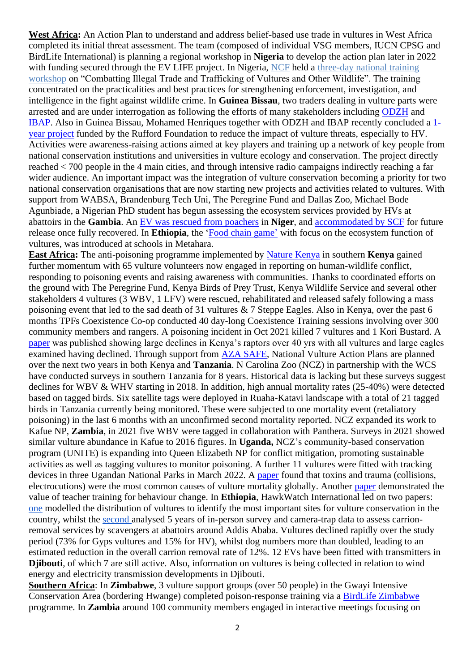**West Africa:** An Action Plan to understand and address belief-based use trade in vultures in West Africa completed its initial threat assessment. The team (composed of individual VSG members, IUCN CPSG and BirdLife International) is planning a regional workshop in **Nigeria** to develop the action plan later in 2022 with funding secured through the EV LIFE project. In Nigeria, [NCF](https://www.ncfnigeria.org/) held a three-day national training [workshop](https://lifeneophron.eu/#a-ncf-host-national-training-workshop-on-combatting-illegal-wildlife-trade) on "Combatting Illegal Trade and Trafficking of Vultures and Other Wildlife". The training concentrated on the practicalities and best practices for strengthening enforcement, investigation, and intelligence in the fight against wildlife crime. In **Guinea Bissau**, two traders dealing in vulture parts were arrested and are under interrogation as following the efforts of many stakeholders including [ODZH](https://www.facebook.com/zonashumidasgb/) and [IBAP.](https://ibapgbissau.org/) Also in Guinea Bissau, Mohamed Henriques together with ODZH and IBAP recently concluded a [1](https://www.rufford.org/projects/mohamed-faza-henriques-bald%C3%A9/vulture-conservation-in-guinea-bissau-awareness-raising-and-capacity-building-amongst-key-actors-to-reduce-major-threats/) [year project](https://www.rufford.org/projects/mohamed-faza-henriques-bald%C3%A9/vulture-conservation-in-guinea-bissau-awareness-raising-and-capacity-building-amongst-key-actors-to-reduce-major-threats/) funded by the Rufford Foundation to reduce the impact of vulture threats, especially to HV. Activities were awareness-raising actions aimed at key players and training up a network of key people from national conservation institutions and universities in vulture ecology and conservation. The project directly reached < 700 people in the 4 main cities, and through intensive radio campaigns indirectly reaching a far wider audience. An important impact was the integration of vulture conservation becoming a priority for two national conservation organisations that are now starting new projects and activities related to vultures. With support from WABSA, Brandenburg Tech Uni, The Peregrine Fund and Dallas Zoo, Michael Bode Agunbiade, a Nigerian PhD student has begun assessing the ecosystem services provided by HVs at abattoirs in the **Gambia**. An ЕV [was rescued from poachers](https://lifeneophron.eu/#a-an-egyptian-vulture-rescued-from-poachers-in-niger) in **Niger**, and [accommodated by SCF](https://lifeneophron.eu/#a-implementing-complementary-actions-to-effectively-fight-against-the-illegal-killng-of-vultures-in-niger) for future release once fully recovered. In **Ethiopia**, the ['Food chain game'](https://lifeneophron.eu/#a-food-chain-game-introduced-at-ethiopian-schools) with focus on the ecosystem function of vultures, was introduced at schools in Metahara.

**East Africa:** The anti-poisoning programme implemented by [Nature Kenya](https://naturekenya.org/) in southern **Kenya** gained further momentum with 65 vulture volunteers now engaged in reporting on human-wildlife conflict, responding to poisoning events and raising awareness with communities. Thanks to coordinated efforts on the ground with The Peregrine Fund, Kenya Birds of Prey Trust, Kenya Wildlife Service and several other stakeholders 4 vultures (3 WBV, 1 LFV) were rescued, rehabilitated and released safely following a mass poisoning event that led to the sad death of 31 vultures & 7 Steppe Eagles. Also in Kenya, over the past 6 months TPFs Coexistence Co-op conducted 40 day-long Coexistence Training sessions involving over 300 community members and rangers. A poisoning incident in Oct 2021 killed 7 vultures and 1 Kori Bustard. A [paper](https://www.sciencedirect.com/science/article/abs/pii/S0006320721004134#:~:text=Of%20Kenya) was published showing large declines in Kenya's raptors over 40 yrs with all vultures and large eagles examined having declined. Through support from [AZA SAFE,](https://www.aza.org/aza-safe?locale=en) National Vulture Action Plans are planned over the next two years in both Kenya and **Tanzania**. N Carolina Zoo (NCZ) in partnership with the WCS have conducted surveys in southern Tanzania for 8 years. Historical data is lacking but these surveys suggest declines for WBV & WHV starting in 2018. In addition, high annual mortality rates (25-40%) were detected based on tagged birds. Six satellite tags were deployed in Ruaha-Katavi landscape with a total of 21 tagged birds in Tanzania currently being monitored. These were subjected to one mortality event (retaliatory poisoning) in the last 6 months with an unconfirmed second mortality reported. NCZ expanded its work to Kafue NP, **Zambia**, in 2021 five WBV were tagged in collaboration with Panthera. Surveys in 2021 showed similar vulture abundance in Kafue to 2016 figures. In **Uganda,** NCZ's community-based conservation program (UNITE) is expanding into Queen Elizabeth NP for conflict mitigation, promoting sustainable activities as well as tagging vultures to monitor poisoning. A further 11 vultures were fitted with tracking devices in three Ugandan National Parks in March 2022. A [paper](https://pubmed.ncbi.nlm.nih.gov/35000042/) found that toxins and trauma (collisions, electrocutions) were the most common causes of vulture mortality globally. Another [paper](https://doi.org/10.1111/csp2.12648) demonstrated the value of teacher training for behaviour change. In **Ethiopia**, HawkWatch International led on two papers: [one](https://www.cambridge.org/core/journals/bird-conservation-international/article/priority-areas-for-vulture-conservation-in-the-horn-of-africa-largely-fall-outside-the-protected-area-network/644A624D7879275496AD5698747F7149) modelled the distribution of vultures to identify the most important sites for vulture conservation in the country, whilst the [second](https://wildlife.onlinelibrary.wiley.com/doi/10.1002/jwmg.22194#:~:text=Detections%20of%20critically%20endangered%20R%C3%BCppell) analysed 5 years of in-person survey and camera-trap data to assess carrionremoval services by scavengers at abattoirs around Addis Ababa. Vultures declined rapidly over the study period (73% for Gyps vultures and 15% for HV), whilst dog numbers more than doubled, leading to an estimated reduction in the overall carrion removal rate of 12%. 12 EVs have been fitted with transmitters in **Djibouti**, of which 7 are still active. Also, information on vultures is being collected in relation to wind energy and electricity transmission developments in Djibouti.

**Southern Africa**: In **Zimbabwe**, 3 vulture support groups (over 50 people) in the Gwayi Intensive Conservation Area (bordering Hwange) completed poison-response training via a [BirdLife Zimbabwe](https://www.birdlifezimbabwe.org/) programme. In **Zambia** around 100 community members engaged in interactive meetings focusing on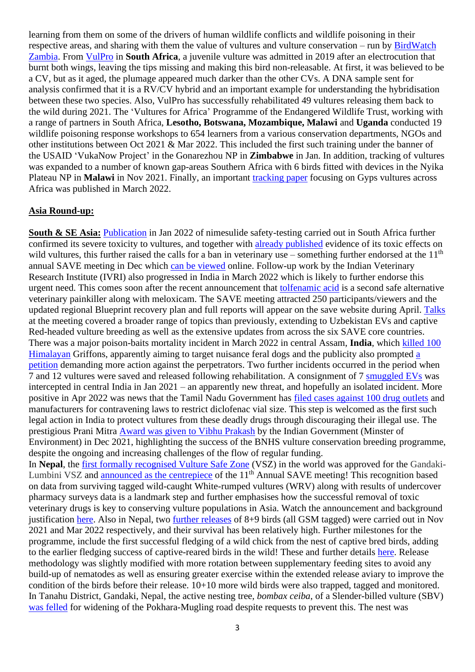learning from them on some of the drivers of human wildlife conflicts and wildlife poisoning in their respective areas, and sharing with them the value of vultures and vulture conservation – run by [BirdWatch](https://www.birdwatchzambia.org/)  [Zambia.](https://www.birdwatchzambia.org/) From [VulPro](https://vulpro.com/) in **South Africa**, a juvenile vulture was admitted in 2019 after an electrocution that burnt both wings, leaving the tips missing and making this bird non-releasable. At first, it was believed to be a CV, but as it aged, the plumage appeared much darker than the other CVs. A DNA sample sent for analysis confirmed that it is a RV/CV hybrid and an important example for understanding the hybridisation between these two species. Also, VulPro has successfully rehabilitated 49 vultures releasing them back to the wild during 2021. The 'Vultures for Africa' Programme of the Endangered Wildlife Trust, working with a range of partners in South Africa, **Lesotho, Botswana, Mozambique, Malawi** and **Uganda** conducted 19 wildlife poisoning response workshops to 654 learners from a various conservation departments, NGOs and other institutions between Oct 2021 & Mar 2022. This included the first such training under the banner of the USAID 'VukaNow Project' in the Gonarezhou NP in **Zimbabwe** in Jan. In addition, tracking of vultures was expanded to a number of known gap-areas Southern Africa with 6 birds fitted with devices in the Nyika Plateau NP in **Malawi** in Nov 2021. Finally, an important [tracking paper](https://protect-eu.mimecast.com/s/gX39CW636CPP26jt6L5ci) focusing on Gyps vultures across Africa was published in March 2022.

### **Asia Round-up:**

**South & SE Asia:** [Publication](https://save-vultures.org/2022/02/another-veterinary-drug-nimesulide-confirmed-toxic-to-vultures/) in Jan 2022 of nimesulide safety-testing carried out in South Africa further confirmed its severe toxicity to vultures, and together with [already published](https://save-vultures.org/2021/06/call-for-nimesulide-ban-new-evidence-of-wild-vultures-intoxicated-in-india/) evidence of its toxic effects on wild vultures, this further raised the calls for a ban in veterinary use – something further endorsed at the  $11<sup>th</sup>$ annual SAVE meeting in Dec which [can be viewed](https://save-vultures.org/saving-asias-vultures-from-extinction-save-agm-2-copy/) online. Follow-up work by the Indian Veterinary Research Institute (IVRI) also progressed in India in March 2022 which is likely to further endorse this urgent need. This comes soon after the recent announcement that [tolfenamic acid](https://save-vultures.org/2021/09/second-vulture-safe-veterinary-painkiller-identified-tolfenamic-acid/) is a second safe alternative veterinary painkiller along with meloxicam. The SAVE meeting attracted 250 participants/viewers and the updated regional Blueprint recovery plan and full reports will appear on the save website during April. [Talks](https://save-vultures.org/saving-asias-vultures-from-extinction-save-agm-2-copy/) at the meeting covered a broader range of topics than previously, extending to Uzbekistan EVs and captive Red-headed vulture breeding as well as the extensive updates from across the six SAVE core countries. There was a major poison-baits mortality incident in March 2022 in central Assam, **India**, which [killed 100](https://www.thehindu.com/news/national/other-states/100-vultures-die-of-suspected-poisoning-in-assam/article65237727.ece)  [Himalayan](https://www.thehindu.com/news/national/other-states/100-vultures-die-of-suspected-poisoning-in-assam/article65237727.ece) Griffons, apparently aiming to target nuisance feral dogs and the publicity also prompted [a](https://www.change.org/p/punish-the-culprits-who-killed-more-than-100-vultures-in-kamrup-assam)  [petition](https://www.change.org/p/punish-the-culprits-who-killed-more-than-100-vultures-in-kamrup-assam) demanding more action against the perpetrators. Two further incidents occurred in the period when 7 and 12 vultures were saved and released following rehabilitation. A consignment of 7 [smuggled EVs](https://www.newindianexpress.com/nation/2022/jan/31/vultures-smuggling-racket-probe-egyptian-vultures-were-sourced-from-anwarganj-area-of-ups-kanpur-p-2413598.html) was intercepted in central India in Jan 2021 – an apparently new threat, and hopefully an isolated incident. More positive in Apr 2022 was news that the Tamil Nadu Government has [filed cases against 100 drug outlets](https://save-vultures.org/2022/04/tamil-nadu-prosecutes-diclofenac-offenders/) and manufacturers for contravening laws to restrict diclofenac vial size. This step is welcomed as the first such legal action in India to protect vultures from these deadly drugs through discouraging their illegal use. The prestigious Prani Mitra [Award was given to Vibhu Prakash](https://save-vultures.org/2021/12/indian-government-honours-vibhu-prakash-and-vulture-programme/) by the Indian Government (Minster of Environment) in Dec 2021, highlighting the success of the BNHS vulture conservation breeding programme, despite the ongoing and increasing challenges of the flow of regular funding. In **Nepal**, the first formally [recognised Vulture Safe Zone](https://save-vultures.org/2021/12/first-ever-vulture-safe-zone-declared-fully-safe-in-nepal-at-saves-11th-annual-meeting/) (VSZ) in the world was approved for the GandakiLumbini VSZ and [announced as the centrepiece](https://save-vultures.org/saving-asias-vultures-from-extinction-save-agm-2-copy/) of the  $11<sup>th</sup>$  Annual SAVE meeting! This recognition based on data from surviving tagged wild-caught White-rumped vultures (WRV) along with results of undercover pharmacy surveys data is a landmark step and further emphasises how the successful removal of toxic veterinary drugs is key to conserving vulture populations in Asia. Watch the announcement and background justification [here.](https://save-vultures.org/saving-asias-vultures-from-extinction-save-agm-2-copy/) Also in Nepal, two [further releases](https://save-vultures.org/2021/11/release-tagging-of-wild-vultures-in-nepal/) of 8+9 birds (all GSM tagged) were carried out in Nov 2021 and Mar 2022 respectively, and their survival has been relatively high. Further milestones for the programme, include the first successful fledging of a wild chick from the nest of captive bred birds, adding to the earlier fledging success of captive-reared birds in the wild! These and further details [here.](https://save-vultures.org/2022/03/exciting-news-from-the-vulture-release-programme-in-nepal/) Release methodology was slightly modified with more rotation between supplementary feeding sites to avoid any build-up of nematodes as well as ensuring greater exercise within the extended release aviary to improve the condition of the birds before their release. 10+10 more wild birds were also trapped, tagged and monitored. In Tanahu District, Gandaki, Nepal, the active nesting tree, *bombax ceiba*, of a Slender-billed vulture (SBV) [was felled](https://kathmandupost.com/gandaki-province/2022/02/10/officials-snub-calls-to-save-egg-of-endangered-vulture?fbclid=IwAR3tw-mnMAPkPTqCMFpX4b_kZwaty-6ynDIqZOHJdC1pungF7nIxPUsxCp0) for widening of the Pokhara-Mugling road despite requests to prevent this. The nest was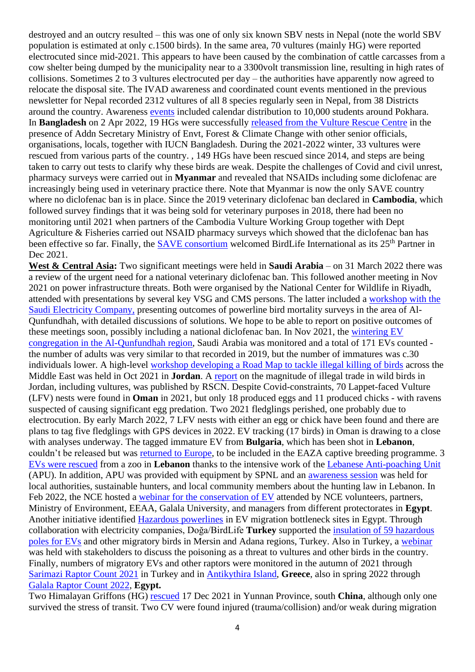destroyed and an outcry resulted – this was one of only six known SBV nests in Nepal (note the world SBV population is estimated at only c.1500 birds). In the same area, 70 vultures (mainly HG) were reported electrocuted since mid-2021. This appears to have been caused by the combination of cattle carcasses from a cow shelter being dumped by the municipality near to a 3300volt transmission line, resulting in high rates of collisions. Sometimes 2 to 3 vultures electrocuted per day – the authorities have apparently now agreed to relocate the disposal site. The IVAD awareness and coordinated count events mentioned in the previous newsletter for Nepal recorded 2312 vultures of all 8 species regularly seen in Nepal, from 38 Districts around the country. Awareness [events](https://ruffordorg.s3.amazonaws.com/media/project_reports/24021-2_International_Awareness_Day_Report.pdf) included calendar distribution to 10,000 students around Pokhara. In **Bangladesh** on 2 Apr 2022, 19 HGs were successfully [released from the Vulture Rescue Centre](https://www.thedailystar.net/online/news/12-vultures-being-released-singra-national-forest-1889515) in the presence of Addn Secretary Ministry of Envt, Forest & Climate Change with other senior officials, organisations, locals, together with IUCN Bangladesh. During the 2021-2022 winter, 33 vultures were rescued from various parts of the country. , 149 HGs have been rescued since 2014, and steps are being taken to carry out tests to clarify why these birds are weak. Despite the challenges of Covid and civil unrest, pharmacy surveys were carried out in **Myanmar** and revealed that NSAIDs including some diclofenac are increasingly being used in veterinary practice there. Note that Myanmar is now the only SAVE country where no diclofenac ban is in place. Since the 2019 veterinary diclofenac ban declared in **Cambodia**, which followed survey findings that it was being sold for veterinary purposes in 2018, there had been no monitoring until 2021 when partners of the Cambodia Vulture Working Group together with Dept Agriculture & Fisheries carried out NSAID pharmacy surveys which showed that the diclofenac ban has been effective so far. Finally, the **SAVE** consortium welcomed BirdLife International as its 25<sup>th</sup> Partner in Dec 2021.

**West & Central Asia:** Two significant meetings were held in **Saudi Arabia** – on 31 March 2022 there was a review of the urgent need for a national veterinary diclofenac ban. This followed another meeting in Nov 2021 on power infrastructure threats. Both were organised by the National Center for Wildlife in Riyadh, attended with presentations by several key VSG and CMS persons. The latter included a [workshop with the](https://lifeneophron.eu/#a-persistent-raptors-mortality-due-to-powerlines-along-the-southwest-coast-of-saudi-arabia)  [Saudi Electricity Company,](https://lifeneophron.eu/#a-persistent-raptors-mortality-due-to-powerlines-along-the-southwest-coast-of-saudi-arabia) presenting outcomes of powerline bird mortality surveys in the area of Al-Qunfundhah, with detailed discussions of solutions. We hope to be able to report on positive outcomes of these meetings soon, possibly including a national diclofenac ban. In Nov 2021, the [wintering EV](https://lifeneophron.eu/#a-southwest-coast-of-saudi-arabia-continues-to-hold-an-important-congregation-of-wintering-egyptian-vultures)  [congregation in the Al-Qunfundhah](https://lifeneophron.eu/#a-southwest-coast-of-saudi-arabia-continues-to-hold-an-important-congregation-of-wintering-egyptian-vultures) region, Saudi Arabia was monitored and a total of 171 EVs counted the number of adults was very similar to that recorded in 2019, but the number of immatures was c.30 individuals lower. A high-level [workshop developing a Road Map to tackle illegal killing of birds](https://lifeneophron.eu/#a-high-level-workshop-on-developing-a-road-map-to-tackle-illegal-bird-killing-in-the-middle-east) across the Middle East was held in Oct 2021 in **Jordan**. A [report](https://lifeneophron.eu/#a-the-status-of-illegal-trade-in-wild-birds-in-jordan) on the magnitude of illegal trade in wild birds in Jordan, including vultures, was published by RSCN. Despite Covid-constraints, 70 Lappet-faced Vulture (LFV) nests were found in **Oman** in 2021, but only 18 produced eggs and 11 produced chicks - with ravens suspected of causing significant egg predation. Two 2021 fledglings perished, one probably due to electrocution. By early March 2022, 7 LFV nests with either an egg or chick have been found and there are plans to tag five fledglings with GPS devices in 2022. EV tracking (17 birds) in Oman is drawing to a close with analyses underway. The tagged immature EV from **Bulgaria**, which has been shot in **Lebanon**, couldn't be released but was [returned to Europe,](https://lifeneophron.eu/#a-anahita-returned-to-europe) to be included in the EAZA captive breeding programme. 3 [EVs were rescued](https://lifeneophron.eu/#a-three-egyptian-vultures-rescued-from-a-zoo-in-lebanon) from a zoo in **Lebanon** thanks to the intensive work of the [Lebanese Anti-poaching Unit](https://lifeneophron.eu/#a-spnls-anti-poaching-unit-in-a-nutshell) (APU). In addition, APU was provided with equipment by SPNL and an [awareness session](https://lifeneophron.eu/#a-awareness-session-about-the-hunting-law-held-in-ghosta-lebanon) was held for local authorities, sustainable hunters, and local community members about the hunting law in Lebanon. In Feb 2022, the NCE hosted a [webinar for the conservation of EV](https://lifeneophron.eu/#a-national-vulture-conservation-training-for-egyptian-national-team) attended by NCE volunteers, partners, Ministry of Environment, EEAA, Galala University, and managers from different protectorates in **Egypt**. Another initiative identified [Hazardous powerlines](https://lifeneophron.eu/#a-hazardous-powerlines-identified-in-egyptian-vulture-migration-bottleneck-site-in-egypt) in EV migration bottleneck sites in Egypt. Through collaboration with electricity companies, Doğa/BirdLife **Turkey** supported the [insulation of 59 hazardous](https://lifeneophron.eu/#a-isolations-completed-at-mersin-adana-turkey)  [poles for EVs](https://lifeneophron.eu/#a-isolations-completed-at-mersin-adana-turkey) and other migratory birds in Mersin and Adana regions, Turkey. Also in Turkey, a [webinar](https://lifeneophron.eu/#a-workshop-of-poisoning-types-in-birds-held-in-turkey) was held with stakeholders to discuss the poisoning as a threat to vultures and other birds in the country. Finally, numbers of migratory EVs and other raptors were monitored in the autumn of 2021 through [Sarimazi Raptor Count 2021](https://lifeneophron.eu/#a-sarimazi-raptor-count-2021) in Turkey and in [Antikythira Island,](https://lifeneophron.eu/#a-egyptian-vulture-migration-monitoring-on-antikythira-island-greece-2021) **Greece**, also in spring 2022 through [Galala Raptor Count 2022,](https://lifeneophron.eu/#a-galala-rapor-count-in-egypt-has-started) **Egypt.**

Two Himalayan Griffons (HG) [rescued](https://m.thepaper.cn/baijiahao_15499544) 17 Dec 2021 in Yunnan Province, south **China**, although only one survived the stress of transit. Two CV were found injured (trauma/collision) and/or weak during migration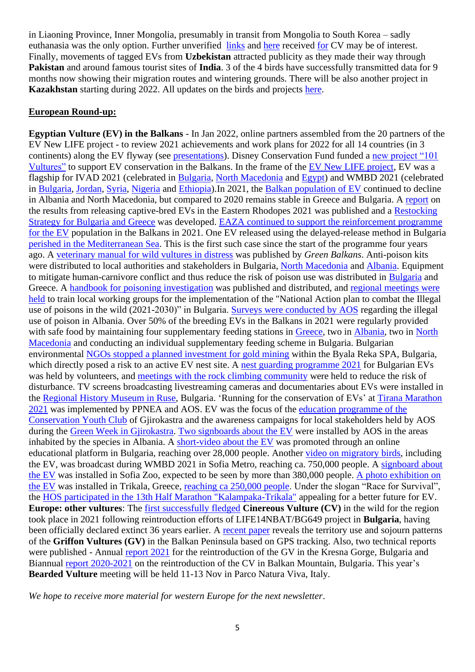in Liaoning Province, Inner Mongolia, presumably in transit from Mongolia to South Korea – sadly euthanasia was the only option. Further unverified [links](https://new.qq.com/omn/20211224/20211224A07JEI00.html) and [here](http://vip.people.com.cn/albumsDetail?aid=1498611) received [for](https://www.163.com/dy/article/GT7QPBB00545ANWW.html) CV may be of interest. Finally, movements of tagged EVs from **Uzbekistan** attracted publicity as they made their way through **Pakistan** and around famous tourist sites of **India**. 3 of the 4 birds have successfully transmitted data for 9 months now showing their migration routes and wintering grounds. There will be also another project in **Kazakhstan** starting during 2022. All updates on the birds and projects [here.](https://protect-eu.mimecast.com/s/ouNCCv2G2U226mAtXeWtX/)

#### **European Round-up:**

**Egyptian Vulture (EV) in the Balkans** - In Jan 2022, online partners assembled from the 20 partners of the EV New LIFE project - to review 2021 achievements and work plans for 2022 for all 14 countries (in 3 continents) along the EV flyway (see [presentations\)](https://lifeneophron.eu/#a-project-partners-webinar-2022-achievements-2021-planned-activities-synergies-2022-under-the-egyptian-vulture-new-life-project-life16-natbg000874). Disney Conservation Fund funded a [new project "101](https://lifeneophron.eu/#a-disney-conservation-fund-supports-the-egyptian-vulture-conservation-in-the-balkans)  [Vultures"](https://lifeneophron.eu/#a-disney-conservation-fund-supports-the-egyptian-vulture-conservation-in-the-balkans) to support EV conservation in the Balkans. In the frame of the EV [New LIFE project,](https://lifeneophron.eu/#a-egyptian-vulture-new-life) EV was a flagship for IVAD 2021 (celebrated in [Bulgaria,](https://lifeneophron.eu/#a-with-educational-games-workshops-and-a-theater-we-celebrated-the-ivad-2021-in-ruse-bulgaria) [North Macedonia](https://lifeneophron.eu/#a-international-vulture-awareness-day-in-rural-republic-of-north-macedonia) and [Egypt\)](https://lifeneophron.eu/#a-ivad-2021-celebrated-under-spectacular-bird-migration-in-egypt) and WMBD 2021 (celebrated in [Bulgaria,](https://lifeneophron.eu/#a-the-egyptian-vulture-in-the-focus-on-the-world-migratory-bird-day-in-provadia-bulgaria) [Jordan,](https://lifeneophron.eu/#a-world-migratory-bird-day-2021-in-jordan) [Syria,](https://lifeneophron.eu/#a-world-migratory-bird-day-in-syria) [Nigeria](https://lifeneophron.eu/#a-egyptian-vulture-as-a-flagship-for-world-migratory-bird-day-2021-celebration-in-nigeria) and [Ethiopia\)](https://lifeneophron.eu/#a-wmbd-celebration-and-environmental-education-program-at-metahara-primary-school).In 2021, the [Balkan population of](https://lifeneophron.eu/#a-year-of-balance-for-the-egyptian-vulture-in-the-balkans) EV continued to decline in Albania and North Macedonia, but compared to 2020 remains stable in Greece and Bulgaria. A [report](https://lifeneophron.eu/#a-results-from-the-release-of-captive-bred-egyptian-vultures-in-the-eastern-rhodopes-in-2021) on the results from releasing captive-bred EVs in the Eastern Rhodopes 2021 was published and a [Restocking](https://lifeneophron.eu/#a-reinforcement-strategy-for-the-egyptian-vulture-in-bulgaria-and-greece)  [Strategy for Bulgaria and Greece](https://lifeneophron.eu/#a-reinforcement-strategy-for-the-egyptian-vulture-in-bulgaria-and-greece) was developed. [EAZA continued to support the reinforcement programme](https://lifeneophron.eu/#a-two-czech-zoos-donated-egyptian-vultures-hatched-for-the-nature-of-bulgaria)  [for the EV](https://lifeneophron.eu/#a-two-czech-zoos-donated-egyptian-vultures-hatched-for-the-nature-of-bulgaria) population in the Balkans in 2021. One EV released using the delayed-release method in Bulgaria [perished in the Mediterranean Sea.](https://lifeneophron.eu/#a-poldi-perished-in-the-mediterranean-sea-after-a-historic-attempt) This is the first such case since the start of the programme four years ago. A [veterinary manual for wild vultures in distress](https://lifeneophron.eu/#a-a-new-veterinary-manual-for-wild-vultures-in-distress) was published by *Green Balkans*. Anti-poison kits were distributed to local authorities and stakeholders in Bulgaria, [North Macedonia](https://lifeneophron.eu/#a-helping-local-communities-in-north-macedonia-with-human-wildlife-conflicts) and [Albania.](https://lifeneophron.eu/#a-educational-workshop-with-the-savers-of-egyptian-vulture-network-in-gjirokaster-albania) Equipment to mitigate human-carnivore conflict and thus reduce the risk of poison use was distributed in [Bulgaria](https://lifeneophron.eu/#a-support-for-the-network-of-local-stakeholders-in-bulgaria) and Greece. A [handbook for poisoning investigation](https://lifeneophron.eu/#a-a-guide-to-wildlife-poisoning-investigation-in-bulgaria) was published and distributed, and [regional meetings were](https://lifeneophron.eu/#a-regional-meetings-of-the-working-groups-on-the-national-action-plan-to-combat-the-illegal-use-of-poisons-in-the-wild-2021-2030)  [held](https://lifeneophron.eu/#a-regional-meetings-of-the-working-groups-on-the-national-action-plan-to-combat-the-illegal-use-of-poisons-in-the-wild-2021-2030) to train local working groups for the implementation of the "National Action plan to combat the Illegal use of poisons in the wild (2021-2030)" in Bulgaria. [Surveys were conducted by AOS](https://lifeneophron.eu/#a-wildlife-poisoning-in-albania-the-danger-posed-to-the-population-of-the-egyptian-vulture) regarding the illegal use of poison in Albania. Over 50% of the breeding EVs in the Balkans in 2021 were regularly provided with safe food by maintaining four supplementary feeding stations in [Greece,](https://lifeneophron.eu/#a-the-results-of-the-network-of-supplementary-feeding-stations-in-greece-2021) two in [Albania,](https://lifeneophron.eu/#a-vulture-restaurants-in-albania-are-supporting-food-for-60-of-egyptian-vulture-population-of-the-country) two in North [Macedonia](https://lifeneophron.eu/#a-another-successful-year-for-the-supplementary-feeding-stations-in-north-macedonia) and conducting an individual supplementary feeding scheme in Bulgaria. Bulgarian environmental NGOs stopped a planned [investment for gold mining](https://lifeneophron.eu/#a-victory-for-nature-and-people-in-the-eastern-rhodopes-no-gold-mining-on-the-byala-reka-special-protection-area-bulgaria) within the Byala Reka SPA, Bulgaria, which directly posed a risk to an active EV nest site. A [nest guarding programme 2021](https://lifeneophron.eu/#a-results-of-the-nest-guarding-campaign-2021-in-bulgaria) for Bulgarian EVs was held by volunteers, and [meetings with the rock climbing community](https://lifeneophron.eu/#a-the-egyptian-vulture-team-presented-the-species-to-the-climbing-community-in-varna) were held to reduce the risk of disturbance. TV screens broadcasting livestreaming cameras and documentaries about EVs were installed in the [Regional History Museum in Ruse,](https://lifeneophron.eu/#a-presentation-of-the-life-of-the-egyptian-vulture-life-in-ecomuseum-in-the-city-of-ruse) Bulgaria. 'Running for the conservation of EVs' at [Tirana Marathon](https://lifeneophron.eu/#a-running-for-the-egyptian-vulture-the-only-breeding-vulture-in-albania)  [2021](https://lifeneophron.eu/#a-running-for-the-egyptian-vulture-the-only-breeding-vulture-in-albania) was implemented by PPNEA and AOS. EV was the focus of the [education programme of the](https://lifeneophron.eu/#a-aos-support-the-ev-educational-program-and-the-foundation-of-cyc-tepelena)  [Conservation Youth Club](https://lifeneophron.eu/#a-aos-support-the-ev-educational-program-and-the-foundation-of-cyc-tepelena) of Gjirokastra and the awareness campaigns for local stakeholders held by AOS during the [Green Week in Gjirokastra.](https://lifeneophron.eu/#a-the-egyptian-vulture-symbol-of-the-green-week-in-gjirokastra-albania) [Two signboards about the EV](https://lifeneophron.eu/#a-informed-people-with-a-lot-of-hope-for-the-egyptian-vulture-in-albania) were installed by AOS in the areas inhabited by the species in Albania. A [short-video about the EV](https://lifeneophron.eu/#a-short-stories-about-the-most-intelligent-bird-the-egyptian-vulture) was promoted through an online educational platform in Bulgaria, reaching over 28,000 people. Another [video on migratory birds,](https://lifeneophron.eu/#a-the-bulgarian-society-for-the-protection-of-birds-celebrated-the-world-migratory-bird-day-in-the-sofia-subway) including the EV, was broadcast during WMBD 2021 in Sofia Metro, reaching ca. 750,000 people. A [signboard about](https://lifeneophron.eu/#a-a-new-signboard-for-the-egyptian-vulture-is-placed-in-sofia-zoo)  [the EV](https://lifeneophron.eu/#a-a-new-signboard-for-the-egyptian-vulture-is-placed-in-sofia-zoo) was installed in Sofia Zoo, expected to be seen by more than 380,000 people. [A photo exhibition on](https://lifeneophron.eu/#a-the-egyptian-vulture-at-the-greatest-christmas-park-of-greece)  [the EV](https://lifeneophron.eu/#a-the-egyptian-vulture-at-the-greatest-christmas-park-of-greece) was installed in Trikala, Greece, [reaching ca 250,000 people.](https://lifeneophron.eu/#a-the-journey-of-the-egyptian-vulture-at-the-mill-of-the-elves-has-come-to-an-end) Under the slogan "Race for Survival", the [HOS participated in the 13th Half Marathon "Kalampaka-Trikala"](https://lifeneophron.eu/#a-the-egyptian-vulture-in-the-13th-half-marathon-kalampaka-trikala) appealing for a better future for EV. **Europe: other vultures**: The first [successfully fledged](https://greenbalkans.org/Historical-success-The-first-Cinereous-Vulture-chick-in-the-21st-century-in-nature-in-Bulgaria-successfully-fledged-in-Kotel-Mountain.-3-7449) **Cinereous Vulture (CV)** in the wild for the region took place in 2021 following reintroduction efforts of LIFE14NBAT/BG649 project in **Bulgaria**, having been officially declared extinct 36 years earlier. A [recent paper](https://bdj.pensoft.net/article/71100/) reveals the territory use and sojourn patterns of the **Griffon Vultures (GV)** in the Balkan Peninsula based on GPS tracking. Also, two technical reports were published - Annual [report 2021](https://fwff.org/reintroduction-of-griffon-vulture-in-the-kresna-gorge-2021/) for the reintroduction of the GV in the Kresna Gorge, Bulgaria and Biannual [report 2020-2021](https://fwff.org/publications/) on the reintroduction of the CV in Balkan Mountain, Bulgaria. This year's **Bearded Vulture** meeting will be held 11-13 Nov in Parco Natura Viva, Italy.

*We hope to receive more material for western Europe for the next newsletter*.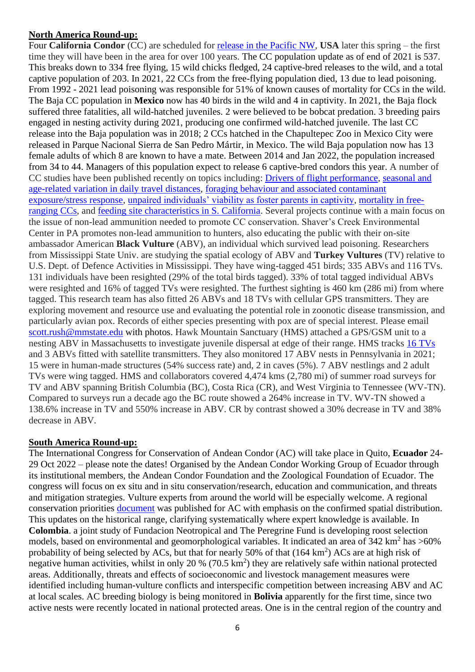### **North America Round-up:**

Four **California Condor** (CC) are scheduled for [release in the Pacific NW,](https://www.birdguides.com/news/condors-return-to-pacific-northwest-for-first-time-in-a-century/?utm_source=newsletter&utm_medium=email&utm_campaign=newsletter110422&dm_i=73DM,5974,ZVGN4,LUKE,1) **USA** later this spring – the first time they will have been in the area for over 100 years. The CC population update as of end of 2021 is 537. This breaks down to 334 free flying, 15 wild chicks fledged, 24 captive-bred releases to the wild, and a total captive population of 203. In 2021, 22 CCs from the free-flying population died, 13 due to lead poisoning. From 1992 - 2021 lead poisoning was responsible for 51% of known causes of mortality for CCs in the wild. The Baja CC population in **Mexico** now has 40 birds in the wild and 4 in captivity. In 2021, the Baja flock suffered three fatalities, all wild-hatched juveniles. 2 were believed to be bobcat predation. 3 breeding pairs engaged in nesting activity during 2021, producing one confirmed wild-hatched juvenile. The last CC release into the Baja population was in 2018; 2 CCs hatched in the Chapultepec Zoo in Mexico City were released in Parque Nacional Sierra de San Pedro Mártir, in Mexico. The wild Baja population now has 13 female adults of which 8 are known to have a mate. Between 2014 and Jan 2022, the population increased from 34 to 44. Managers of this population expect to release 6 captive-bred condors this year. A number of CC studies have been published recently on topics including: [Drivers of flight performance,](https://pubs.er.usgs.gov/publication/70229694) [seasonal and](https://www.researchgate.net/publication/354342782_Seasonal_and_age-related_variation_in_daily_travel_distances_of_California_Condors)  [age-related variation in daily travel distances,](https://www.researchgate.net/publication/354342782_Seasonal_and_age-related_variation_in_daily_travel_distances_of_California_Condors) [foraging behaviour and associated contaminant](https://pubmed.ncbi.nlm.nih.gov/32738723/)  [exposure/stress response,](https://pubmed.ncbi.nlm.nih.gov/32738723/) [unpaired individuals' viability as foster parents in captivity,](https://www.researchgate.net/publication/354517828_UNPAIRED_ADULT_CALIFORNIA_CONDORS_GYMNOGYPS_CALIFORNIANUS_CAN_SERVE_AS_FOSTER_PARENTS_IN_CAPTIVITY) [mortality in free](https://journals.flvc.org/JVFS/article/view/128637)[ranging CCs,](https://journals.flvc.org/JVFS/article/view/128637) and [feeding site characteristics in S. California.](https://meridian.allenpress.com/wjo/article-abstract/131/3/459/430197/Characteristics-of-feeding-sites-of-California?redirectedFrom=fulltext) Several projects continue with a main focus on the issue of non-lead ammunition needed to promote CC conservation. Shaver's Creek Environmental Center in PA promotes non-lead ammunition to hunters, also educating the public with their on-site ambassador American **Black Vulture** (ABV), an individual which survived lead poisoning. Researchers from Mississippi State Univ. are studying the spatial ecology of ABV and **Turkey Vultures** (TV) relative to U.S. Dept. of Defence Activities in Mississippi. They have wing-tagged 451 birds; 335 ABVs and 116 TVs. 131 individuals have been resighted (29% of the total birds tagged). 33% of total tagged individual ABVs were resighted and 16% of tagged TVs were resighted. The furthest sighting is 460 km (286 mi) from where tagged. This research team has also fitted 26 ABVs and 18 TVs with cellular GPS transmitters. They are exploring movement and resource use and evaluating the potential role in zoonotic disease transmission, and particularly avian pox. Records of either species presenting with pox are of special interest. Please email [scott.rush@mmstate.edu](mailto:scott.rush@mmstate.edu) with photos. Hawk Mountain Sanctuary (HMS) attached a GPS/GSM unit to a nesting ABV in Massachusetts to investigate juvenile dispersal at edge of their range. HMS tracks [16 TVs](https://www.hawkmountain.org/birdtracker/turkey-vultures.html)) and 3 ABVs fitted with satellite transmitters. They also monitored 17 ABV nests in Pennsylvania in 2021; 15 were in human-made structures (54% success rate) and, 2 in caves (5%). 7 ABV nestlings and 2 adult TVs were wing tagged. HMS and collaborators covered 4,474 kms (2,780 mi) of summer road surveys for TV and ABV spanning British Columbia (BC), Costa Rica (CR), and West Virginia to Tennessee (WV-TN). Compared to surveys run a decade ago the BC route showed a 264% increase in TV. WV-TN showed a 138.6% increase in TV and 550% increase in ABV. CR by contrast showed a 30% decrease in TV and 38% decrease in ABV.

#### **South America Round-up:**

The International Congress for Conservation of Andean Condor (AC) will take place in Quito, **Ecuador** 24- 29 Oct 2022 – please note the dates! Organised by the Andean Condor Working Group of Ecuador through its institutional members, the Andean Condor Foundation and the Zoological Foundation of Ecuador. The congress will focus on ex situ and in situ conservation/research, education and communication, and threats and mitigation strategies. Vulture experts from around the world will be especially welcome. A regional conservation priorities [document](https://doi.org/10.3356/JRR-20-59) was published for AC with emphasis on the confirmed spatial distribution. This updates on the historical range, clarifying systematically where expert knowledge is available. In **Colombia**. a joint study of Fundacion Neotropical and The Peregrine Fund is developing roost selection models, based on environmental and geomorphological variables. It indicated an area of  $342 \text{ km}^2$  has  $>60\%$ probability of being selected by ACs, but that for nearly 50% of that  $(164 \text{ km}^2)$  ACs are at high risk of negative human activities, whilst in only 20 %  $(70.5 \text{ km}^2)$  they are relatively safe within national protected areas. Additionally, threats and effects of socioeconomic and livestock management measures were identified including human-vulture conflicts and interspecific competition between increasing ABV and AC at local scales. AC breeding biology is being monitored in **Bolivia** apparently for the first time, since two active nests were recently located in national protected areas. One is in the central region of the country and